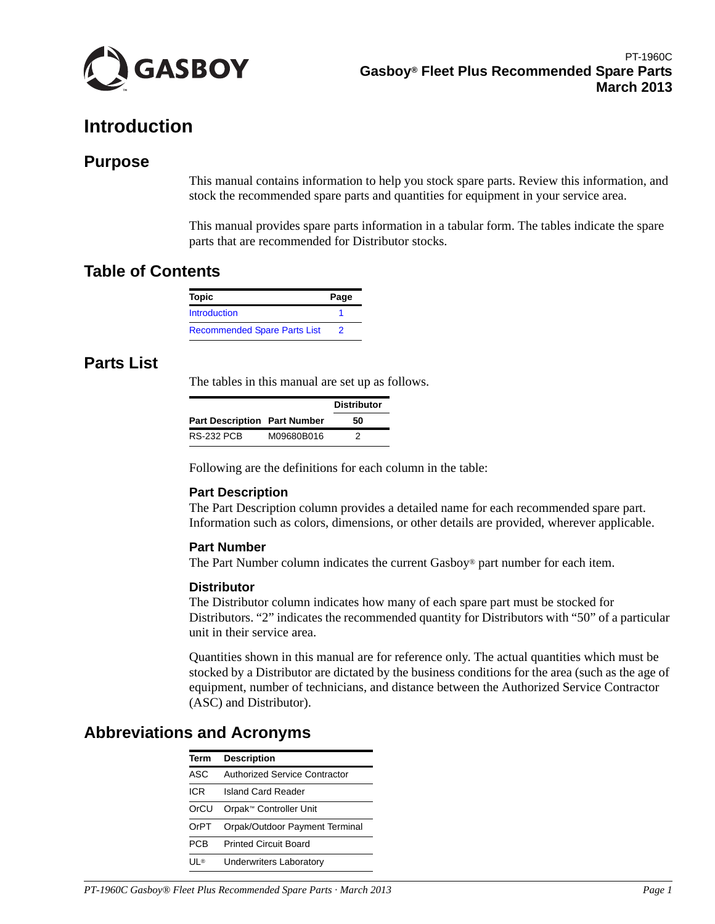

# <span id="page-0-0"></span>**Introduction**

## **Purpose**

This manual contains information to help you stock spare parts. Review this information, and stock the recommended spare parts and quantities for equipment in your service area.

This manual provides spare parts information in a tabular form. The tables indicate the spare parts that are recommended for Distributor stocks.

## **Table of Contents**

| <b>Topic</b>                        | Page |
|-------------------------------------|------|
| <b>Introduction</b>                 |      |
| <b>Recommended Spare Parts List</b> | 2    |

### **Parts List**

The tables in this manual are set up as follows.

|                                     | <b>Distributor</b> |    |
|-------------------------------------|--------------------|----|
| <b>Part Description Part Number</b> |                    | 50 |
| RS-232 PCB                          | M09680B016         | 2  |

Following are the definitions for each column in the table:

### **Part Description**

The Part Description column provides a detailed name for each recommended spare part. Information such as colors, dimensions, or other details are provided, wherever applicable.

### **Part Number**

The Part Number column indicates the current Gasboy® part number for each item.

#### **Distributor**

The Distributor column indicates how many of each spare part must be stocked for Distributors. "2" indicates the recommended quantity for Distributors with "50" of a particular unit in their service area.

Quantities shown in this manual are for reference only. The actual quantities which must be stocked by a Distributor are dictated by the business conditions for the area (such as the age of equipment, number of technicians, and distance between the Authorized Service Contractor (ASC) and Distributor).

## **Abbreviations and Acronyms**

| <b>Term</b> | <b>Description</b>                   |
|-------------|--------------------------------------|
| ASC         | <b>Authorized Service Contractor</b> |
| ICR         | Island Card Reader                   |
| OrCU        | Orpak™ Controller Unit               |
| OrPT        | Orpak/Outdoor Payment Terminal       |
| <b>PCB</b>  | <b>Printed Circuit Board</b>         |
| l II ®      | <b>Underwriters Laboratory</b>       |